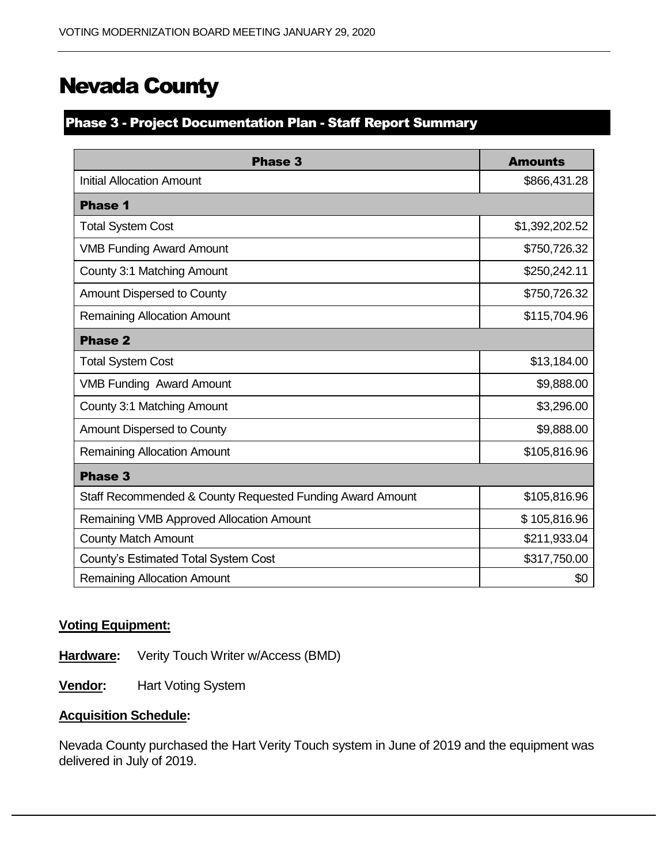# Nevada County

# Phase 3 - Project Documentation Plan - Staff Report Summary

| <b>Phase 3</b>                                            | <b>Amounts</b> |
|-----------------------------------------------------------|----------------|
| <b>Initial Allocation Amount</b>                          | \$866,431.28   |
| <b>Phase 1</b>                                            |                |
| <b>Total System Cost</b>                                  | \$1,392,202.52 |
| <b>VMB Funding Award Amount</b>                           | \$750,726.32   |
| County 3:1 Matching Amount                                | \$250,242.11   |
| <b>Amount Dispersed to County</b>                         | \$750,726.32   |
| <b>Remaining Allocation Amount</b>                        | \$115,704.96   |
| <b>Phase 2</b>                                            |                |
| <b>Total System Cost</b>                                  | \$13,184.00    |
| <b>VMB Funding Award Amount</b>                           | \$9,888.00     |
| County 3:1 Matching Amount                                | \$3,296.00     |
| Amount Dispersed to County                                | \$9,888.00     |
| <b>Remaining Allocation Amount</b>                        | \$105,816.96   |
| <b>Phase 3</b>                                            |                |
| Staff Recommended & County Requested Funding Award Amount | \$105,816.96   |
| Remaining VMB Approved Allocation Amount                  | \$105,816.96   |
| <b>County Match Amount</b>                                | \$211,933.04   |
| County's Estimated Total System Cost                      | \$317,750.00   |
| <b>Remaining Allocation Amount</b>                        | \$0            |

## **Voting Equipment:**

**Hardware:** Verity Touch Writer w/Access (BMD)

**Vendor:** Hart Voting System

#### **Acquisition Schedule:**

Nevada County purchased the Hart Verity Touch system in June of 2019 and the equipment was delivered in July of 2019.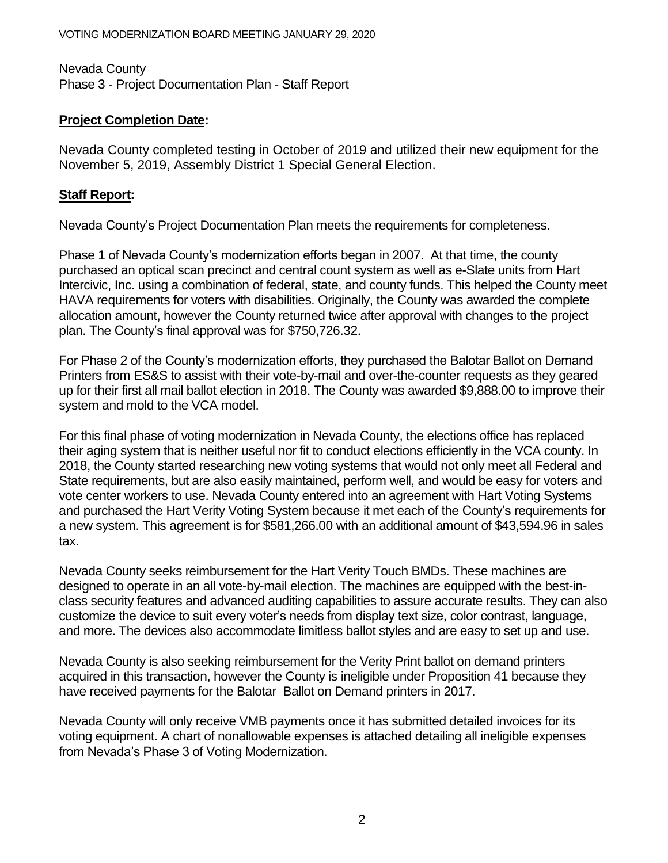Nevada County Phase 3 - Project Documentation Plan - Staff Report

## **Project Completion Date:**

Nevada County completed testing in October of 2019 and utilized their new equipment for the November 5, 2019, Assembly District 1 Special General Election.

# **Staff Report:**

Nevada County's Project Documentation Plan meets the requirements for completeness.

Phase 1 of Nevada County's modernization efforts began in 2007. At that time, the county purchased an optical scan precinct and central count system as well as e-Slate units from Hart Intercivic, Inc. using a combination of federal, state, and county funds. This helped the County meet HAVA requirements for voters with disabilities. Originally, the County was awarded the complete allocation amount, however the County returned twice after approval with changes to the project plan. The County's final approval was for \$750,726.32.

For Phase 2 of the County's modernization efforts, they purchased the Balotar Ballot on Demand Printers from ES&S to assist with their vote-by-mail and over-the-counter requests as they geared up for their first all mail ballot election in 2018. The County was awarded \$9,888.00 to improve their system and mold to the VCA model.

For this final phase of voting modernization in Nevada County, the elections office has replaced their aging system that is neither useful nor fit to conduct elections efficiently in the VCA county. In 2018, the County started researching new voting systems that would not only meet all Federal and State requirements, but are also easily maintained, perform well, and would be easy for voters and vote center workers to use. Nevada County entered into an agreement with Hart Voting Systems and purchased the Hart Verity Voting System because it met each of the County's requirements for a new system. This agreement is for \$581,266.00 with an additional amount of \$43,594.96 in sales tax.

Nevada County seeks reimbursement for the Hart Verity Touch BMDs. These machines are designed to operate in an all vote-by-mail election. The machines are equipped with the best-inclass security features and advanced auditing capabilities to assure accurate results. They can also customize the device to suit every voter's needs from display text size, color contrast, language, and more. The devices also accommodate limitless ballot styles and are easy to set up and use.

Nevada County is also seeking reimbursement for the Verity Print ballot on demand printers acquired in this transaction, however the County is ineligible under Proposition 41 because they have received payments for the Balotar Ballot on Demand printers in 2017.

Nevada County will only receive VMB payments once it has submitted detailed invoices for its voting equipment. A chart of nonallowable expenses is attached detailing all ineligible expenses from Nevada's Phase 3 of Voting Modernization.